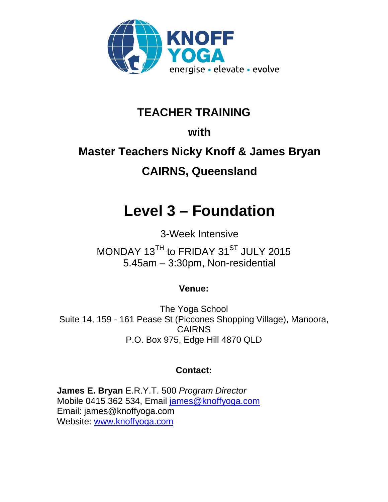

## **TEACHER TRAINING**

## **with**

# **Master Teachers Nicky Knoff & James Bryan CAIRNS, Queensland**

# **Level 3 – Foundation**

3-Week Intensive MONDAY 13<sup>TH</sup> to FRIDAY 31<sup>ST</sup> JULY 2015 5.45am – 3:30pm, Non-residential

### **Venue:**

The Yoga School Suite 14, 159 - 161 Pease St (Piccones Shopping Village), Manoora, CAIRNS P.O. Box 975, Edge Hill 4870 QLD

### **Contact:**

**James E. Bryan** E.R.Y.T. 500 *Program Director*  Mobile 0415 362 534, Email james@knoffyoga.com Email: james@knoffyoga.com Website: www.knoffyoga.com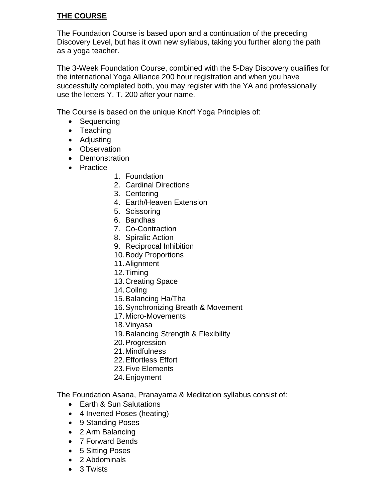#### **THE COURSE**

The Foundation Course is based upon and a continuation of the preceding Discovery Level, but has it own new syllabus, taking you further along the path as a yoga teacher.

The 3-Week Foundation Course, combined with the 5-Day Discovery qualifies for the international Yoga Alliance 200 hour registration and when you have successfully completed both, you may register with the YA and professionally use the letters Y. T. 200 after your name.

The Course is based on the unique Knoff Yoga Principles of:

- Sequencing
- Teaching
- Adjusting
- Observation
- Demonstration
- Practice
- 1. Foundation
- 2. Cardinal Directions
- 3. Centering
- 4. Earth/Heaven Extension
- 5. Scissoring
- 6. Bandhas
- 7. Co-Contraction
- 8. Spiralic Action
- 9. Reciprocal Inhibition
- 10.Body Proportions
- 11.Alignment
- 12.Timing
- 13.Creating Space
- 14.Coilng
- 15.Balancing Ha/Tha
- 16.Synchronizing Breath & Movement
- 17.Micro-Movements
- 18.Vinyasa
- 19.Balancing Strength & Flexibility
- 20.Progression
- 21.Mindfulness
- 22.Effortless Effort
- 23.Five Elements
- 24.Enjoyment

The Foundation Asana, Pranayama & Meditation syllabus consist of:

- Earth & Sun Salutations
- 4 Inverted Poses (heating)
- 9 Standing Poses
- 2 Arm Balancing
- 7 Forward Bends
- 5 Sitting Poses
- 2 Abdominals
- 3 Twists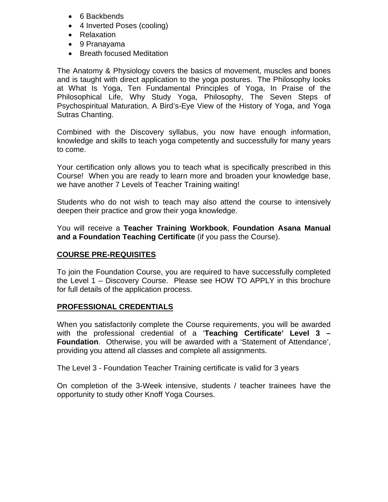- 6 Backbends
- 4 Inverted Poses (cooling)
- Relaxation
- 9 Pranayama
- Breath focused Meditation

The Anatomy & Physiology covers the basics of movement, muscles and bones and is taught with direct application to the yoga postures. The Philosophy looks at What Is Yoga, Ten Fundamental Principles of Yoga, In Praise of the Philosophical Life, Why Study Yoga, Philosophy, The Seven Steps of Psychospiritual Maturation, A Bird's-Eye View of the History of Yoga, and Yoga Sutras Chanting.

Combined with the Discovery syllabus, you now have enough information, knowledge and skills to teach yoga competently and successfully for many years to come.

Your certification only allows you to teach what is specifically prescribed in this Course! When you are ready to learn more and broaden your knowledge base, we have another 7 Levels of Teacher Training waiting!

Students who do not wish to teach may also attend the course to intensively deepen their practice and grow their yoga knowledge.

You will receive a **Teacher Training Workbook**, **Foundation Asana Manual and a Foundation Teaching Certificate** (if you pass the Course).

#### **COURSE PRE-REQUISITES**

To join the Foundation Course, you are required to have successfully completed the Level 1 – Discovery Course. Please see HOW TO APPLY in this brochure for full details of the application process.

#### **PROFESSIONAL CREDENTIALS**

When you satisfactorily complete the Course requirements, you will be awarded with the professional credential of a '**Teaching Certificate' Level 3 – Foundation**. Otherwise, you will be awarded with a 'Statement of Attendance', providing you attend all classes and complete all assignments.

The Level 3 - Foundation Teacher Training certificate is valid for 3 years

On completion of the 3-Week intensive, students / teacher trainees have the opportunity to study other Knoff Yoga Courses.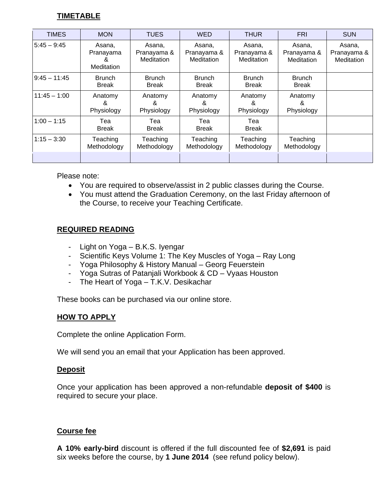#### **TIMETABLE**

| <b>TIMES</b>   | <b>MON</b>                              | <b>TUES</b>                         | <b>WED</b>                                 | <b>THUR</b>                         | <b>FRI</b>                          | <b>SUN</b>                          |
|----------------|-----------------------------------------|-------------------------------------|--------------------------------------------|-------------------------------------|-------------------------------------|-------------------------------------|
| $5:45 - 9:45$  | Asana,<br>Pranayama<br>Čκ<br>Meditation | Asana.<br>Pranayama &<br>Meditation | Asana.<br>Pranayama &<br><b>Meditation</b> | Asana.<br>Pranayama &<br>Meditation | Asana,<br>Pranayama &<br>Meditation | Asana,<br>Pranayama &<br>Meditation |
| $9:45 - 11:45$ | <b>Brunch</b><br><b>Break</b>           | <b>Brunch</b><br><b>Break</b>       | <b>Brunch</b><br><b>Break</b>              | <b>Brunch</b><br><b>Break</b>       | <b>Brunch</b><br><b>Break</b>       |                                     |
| $11:45 - 1:00$ | Anatomy<br>&<br>Physiology              | Anatomy<br>&<br>Physiology          | Anatomy<br>&<br>Physiology                 | Anatomy<br>&<br>Physiology          | Anatomy<br>8<br>Physiology          |                                     |
| $1:00 - 1:15$  | Tea<br><b>Break</b>                     | Tea<br><b>Break</b>                 | Tea<br><b>Break</b>                        | Tea<br><b>Break</b>                 |                                     |                                     |
| $1:15 - 3:30$  | Teaching<br>Methodology                 | Teaching<br>Methodology             | Teaching<br>Methodology                    | Teaching<br>Methodology             | Teaching<br>Methodology             |                                     |
|                |                                         |                                     |                                            |                                     |                                     |                                     |

Please note:

- You are required to observe/assist in 2 public classes during the Course.
- You must attend the Graduation Ceremony, on the last Friday afternoon of the Course, to receive your Teaching Certificate.

#### **REQUIRED READING**

- Light on Yoga B.K.S. Iyengar
- Scientific Keys Volume 1: The Key Muscles of Yoga Ray Long
- Yoga Philosophy & History Manual Georg Feuerstein
- Yoga Sutras of Patanjali Workbook & CD Vyaas Houston
- The Heart of Yoga T.K.V. Desikachar

These books can be purchased via our online store.

#### **HOW TO APPLY**

Complete the online Application Form.

We will send you an email that your Application has been approved.

#### **Deposit**

Once your application has been approved a non-refundable **deposit of \$400** is required to secure your place.

#### **Course fee**

**A 10% early-bird** discount is offered if the full discounted fee of **\$2,691** is paid six weeks before the course, by **1 June 2014** (see refund policy below).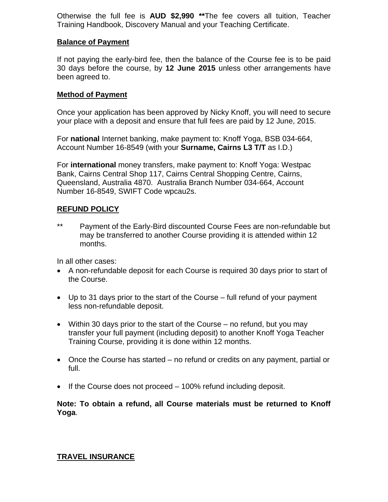Otherwise the full fee is **AUD \$2,990 \*\***The fee covers all tuition, Teacher Training Handbook, Discovery Manual and your Teaching Certificate.

#### **Balance of Payment**

If not paying the early-bird fee, then the balance of the Course fee is to be paid 30 days before the course, by **12 June 2015** unless other arrangements have been agreed to.

#### **Method of Payment**

Once your application has been approved by Nicky Knoff, you will need to secure your place with a deposit and ensure that full fees are paid by 12 June, 2015.

For **national** Internet banking, make payment to: Knoff Yoga, BSB 034-664, Account Number 16-8549 (with your **Surname, Cairns L3 T/T** as I.D.)

For **international** money transfers, make payment to: Knoff Yoga: Westpac Bank, Cairns Central Shop 117, Cairns Central Shopping Centre, Cairns, Queensland, Australia 4870. Australia Branch Number 034-664, Account Number 16-8549, SWIFT Code wpcau2s.

#### **REFUND POLICY**

\*\* Payment of the Early-Bird discounted Course Fees are non-refundable but may be transferred to another Course providing it is attended within 12 months.

In all other cases:

- A non-refundable deposit for each Course is required 30 days prior to start of the Course.
- Up to 31 days prior to the start of the Course full refund of your payment less non-refundable deposit.
- Within 30 days prior to the start of the Course no refund, but you may transfer your full payment (including deposit) to another Knoff Yoga Teacher Training Course, providing it is done within 12 months.
- Once the Course has started no refund or credits on any payment, partial or full.
- If the Course does not proceed 100% refund including deposit.

**Note: To obtain a refund, all Course materials must be returned to Knoff Yoga**.

#### **TRAVEL INSURANCE**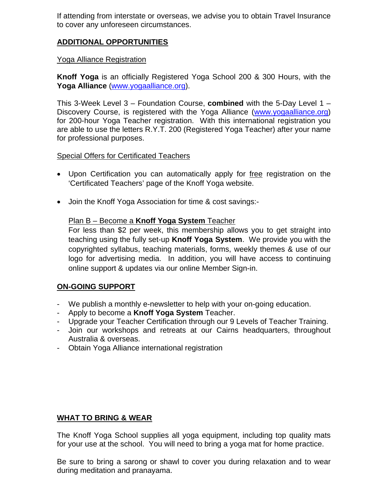If attending from interstate or overseas, we advise you to obtain Travel Insurance to cover any unforeseen circumstances.

#### **ADDITIONAL OPPORTUNITIES**

#### Yoga Alliance Registration

**Knoff Yoga** is an officially Registered Yoga School 200 & 300 Hours, with the **Yoga Alliance** (www.yogaalliance.org).

This 3-Week Level 3 – Foundation Course, **combined** with the 5-Day Level 1 – Discovery Course, is registered with the Yoga Alliance (www.yogaalliance.org) for 200-hour Yoga Teacher registration. With this international registration you are able to use the letters R.Y.T. 200 (Registered Yoga Teacher) after your name for professional purposes.

#### Special Offers for Certificated Teachers

- Upon Certification you can automatically apply for free registration on the 'Certificated Teachers' page of the Knoff Yoga website.
- Join the Knoff Yoga Association for time & cost savings:-

#### Plan B – Become a **Knoff Yoga System** Teacher

For less than \$2 per week, this membership allows you to get straight into teaching using the fully set-up **Knoff Yoga System**. We provide you with the copyrighted syllabus, teaching materials, forms, weekly themes & use of our logo for advertising media. In addition, you will have access to continuing online support & updates via our online Member Sign-in.

#### **ON-GOING SUPPORT**

- We publish a monthly e-newsletter to help with your on-going education.
- Apply to become a **Knoff Yoga System** Teacher.
- Upgrade your Teacher Certification through our 9 Levels of Teacher Training.
- Join our workshops and retreats at our Cairns headquarters, throughout Australia & overseas.
- Obtain Yoga Alliance international registration

#### **WHAT TO BRING & WEAR**

The Knoff Yoga School supplies all yoga equipment, including top quality mats for your use at the school. You will need to bring a yoga mat for home practice.

Be sure to bring a sarong or shawl to cover you during relaxation and to wear during meditation and pranayama.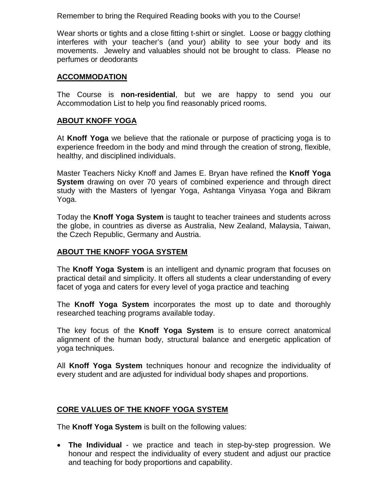Remember to bring the Required Reading books with you to the Course!

Wear shorts or tights and a close fitting t-shirt or singlet. Loose or baggy clothing interferes with your teacher's (and your) ability to see your body and its movements. Jewelry and valuables should not be brought to class. Please no perfumes or deodorants

#### **ACCOMMODATION**

The Course is **non-residential**, but we are happy to send you our Accommodation List to help you find reasonably priced rooms.

#### **ABOUT KNOFF YOGA**

At **Knoff Yoga** we believe that the rationale or purpose of practicing yoga is to experience freedom in the body and mind through the creation of strong, flexible, healthy, and disciplined individuals.

Master Teachers Nicky Knoff and James E. Bryan have refined the **Knoff Yoga System** drawing on over 70 years of combined experience and through direct study with the Masters of Iyengar Yoga, Ashtanga Vinyasa Yoga and Bikram Yoga.

Today the **Knoff Yoga System** is taught to teacher trainees and students across the globe, in countries as diverse as Australia, New Zealand, Malaysia, Taiwan, the Czech Republic, Germany and Austria.

#### **ABOUT THE KNOFF YOGA SYSTEM**

The **Knoff Yoga System** is an intelligent and dynamic program that focuses on practical detail and simplicity. It offers all students a clear understanding of every facet of yoga and caters for every level of yoga practice and teaching

The **Knoff Yoga System** incorporates the most up to date and thoroughly researched teaching programs available today.

The key focus of the **Knoff Yoga System** is to ensure correct anatomical alignment of the human body, structural balance and energetic application of yoga techniques.

All **Knoff Yoga System** techniques honour and recognize the individuality of every student and are adjusted for individual body shapes and proportions.

#### **CORE VALUES OF THE KNOFF YOGA SYSTEM**

The **Knoff Yoga System** is built on the following values:

 **The Individual** - we practice and teach in step-by-step progression. We honour and respect the individuality of every student and adjust our practice and teaching for body proportions and capability.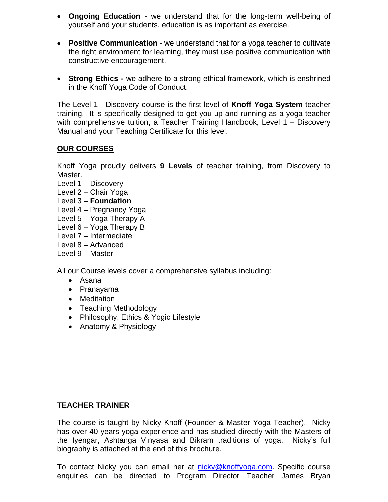- **Ongoing Education** we understand that for the long-term well-being of yourself and your students, education is as important as exercise.
- **Positive Communication** we understand that for a yoga teacher to cultivate the right environment for learning, they must use positive communication with constructive encouragement.
- **Strong Ethics -** we adhere to a strong ethical framework, which is enshrined in the Knoff Yoga Code of Conduct.

The Level 1 - Discovery course is the first level of **Knoff Yoga System** teacher training. It is specifically designed to get you up and running as a yoga teacher with comprehensive tuition, a Teacher Training Handbook, Level 1 – Discovery Manual and your Teaching Certificate for this level.

#### **OUR COURSES**

Knoff Yoga proudly delivers **9 Levels** of teacher training, from Discovery to Master.

- Level 1 Discovery
- Level 2 Chair Yoga
- Level 3 **Foundation**
- Level 4 Pregnancy Yoga
- Level 5 Yoga Therapy A
- Level 6 Yoga Therapy B
- Level 7 Intermediate
- Level 8 Advanced
- Level 9 Master

All our Course levels cover a comprehensive syllabus including:

- Asana
- Pranayama
- Meditation
- Teaching Methodology
- Philosophy, Ethics & Yogic Lifestyle
- Anatomy & Physiology

#### **TEACHER TRAINER**

The course is taught by Nicky Knoff (Founder & Master Yoga Teacher). Nicky has over 40 years yoga experience and has studied directly with the Masters of the Iyengar, Ashtanga Vinyasa and Bikram traditions of yoga. Nicky's full biography is attached at the end of this brochure.

To contact Nicky you can email her at nicky@knoffyoga.com. Specific course enquiries can be directed to Program Director Teacher James Bryan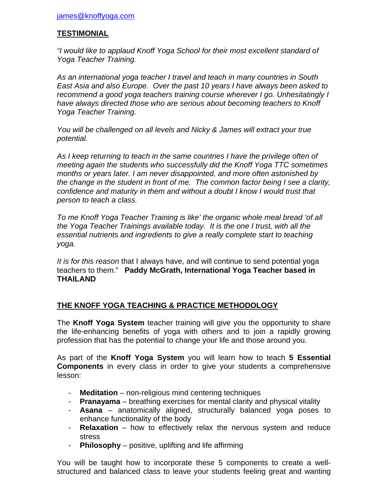#### **TESTIMONIAL**

*"I would like to applaud Knoff Yoga School for their most excellent standard of Yoga Teacher Training.*

*As an international yoga teacher I travel and teach in many countries in South East Asia and also Europe. Over the past 10 years I have always been asked to recommend a good yoga teachers training course wherever I go. Unhesitatingly I have always directed those who are serious about becoming teachers to Knoff Yoga Teacher Training.* 

*You will be challenged on all levels and Nicky & James will extract your true potential.*

As I keep returning to teach in the same countries I have the privilege often of *meeting again the students who successfully did the Knoff Yoga TTC sometimes months or years later. I am never disappointed, and more often astonished by the change in the student in front of me. The common factor being I see a clarity, confidence and maturity in them and without a doubt I know I would trust that person to teach a class.* 

*To me Knoff Yoga Teacher Training is like' the organic whole meal bread 'of all the Yoga Teacher Trainings available today. It is the one I trust, with all the essential nutrients and ingredients to give a really complete start to teaching yoga.*

*It is for this reason* that I always have, and will continue to send potential yoga teachers to them." **Paddy McGrath, International Yoga Teacher based in THAILAND**

#### **THE KNOFF YOGA TEACHING & PRACTICE METHODOLOGY**

The **Knoff Yoga System** teacher training will give you the opportunity to share the life-enhancing benefits of yoga with others and to join a rapidly growing profession that has the potential to change your life and those around you.

As part of the **Knoff Yoga System** you will learn how to teach **5 Essential Components** in every class in order to give your students a comprehensive lesson:

- **Meditation** non-religious mind centering techniques
- **Pranayama** breathing exercises for mental clarity and physical vitality
- **Asana** anatomically aligned, structurally balanced yoga poses to enhance functionality of the body
- **Relaxation** how to effectively relax the nervous system and reduce stress
- **Philosophy** positive, uplifting and life affirming

You will be taught how to incorporate these 5 components to create a wellstructured and balanced class to leave your students feeling great and wanting